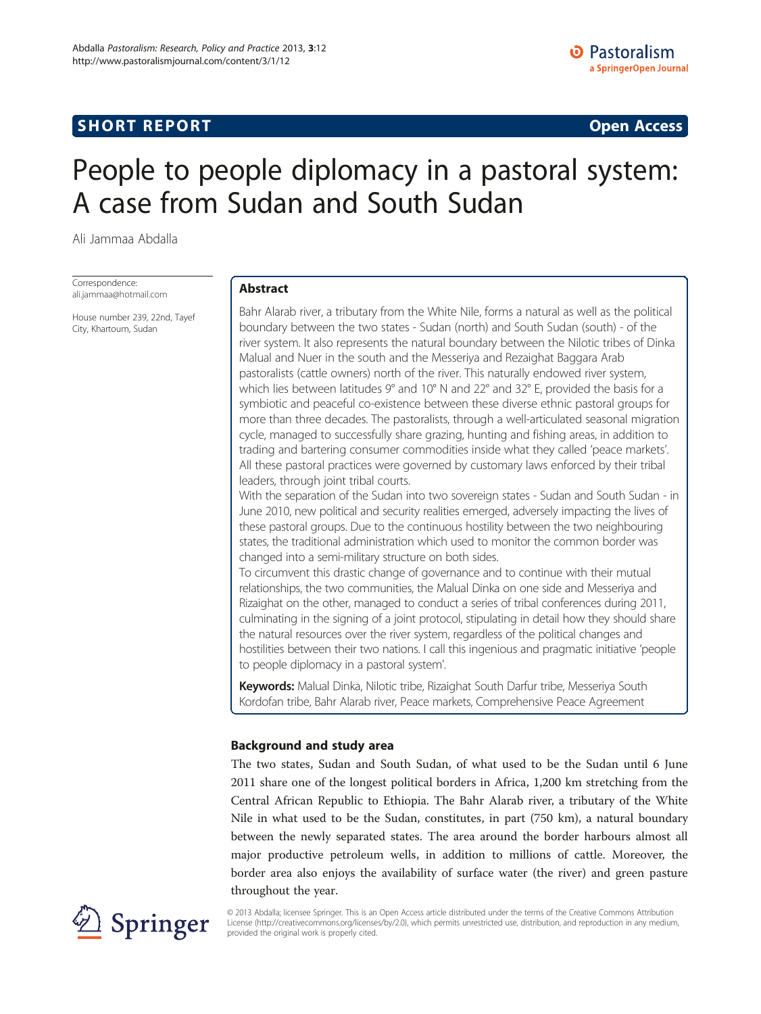## **SHORT REPORT SHORT CONSUMING ACCESS**

# People to people diplomacy in a pastoral system: A case from Sudan and South Sudan

Ali Jammaa Abdalla

Correspondence: [ali.jammaa@hotmail.com](mailto:ali.jammaa@hotmail.com)

House number 239, 22nd, Tayef City, Khartoum, Sudan

#### Abstract

Bahr Alarab river, a tributary from the White Nile, forms a natural as well as the political boundary between the two states - Sudan (north) and South Sudan (south) - of the river system. It also represents the natural boundary between the Nilotic tribes of Dinka Malual and Nuer in the south and the Messeriya and Rezaighat Baggara Arab pastoralists (cattle owners) north of the river. This naturally endowed river system, which lies between latitudes 9° and 10° N and 22° and 32° E, provided the basis for a symbiotic and peaceful co-existence between these diverse ethnic pastoral groups for more than three decades. The pastoralists, through a well-articulated seasonal migration cycle, managed to successfully share grazing, hunting and fishing areas, in addition to trading and bartering consumer commodities inside what they called 'peace markets'. All these pastoral practices were governed by customary laws enforced by their tribal leaders, through joint tribal courts.

With the separation of the Sudan into two sovereign states - Sudan and South Sudan - in June 2010, new political and security realities emerged, adversely impacting the lives of these pastoral groups. Due to the continuous hostility between the two neighbouring states, the traditional administration which used to monitor the common border was changed into a semi-military structure on both sides.

To circumvent this drastic change of governance and to continue with their mutual relationships, the two communities, the Malual Dinka on one side and Messeriya and Rizaighat on the other, managed to conduct a series of tribal conferences during 2011, culminating in the signing of a joint protocol, stipulating in detail how they should share the natural resources over the river system, regardless of the political changes and hostilities between their two nations. I call this ingenious and pragmatic initiative 'people to people diplomacy in a pastoral system'.

Keywords: Malual Dinka, Nilotic tribe, Rizaighat South Darfur tribe, Messeriya South Kordofan tribe, Bahr Alarab river, Peace markets, Comprehensive Peace Agreement

#### Background and study area

The two states, Sudan and South Sudan, of what used to be the Sudan until 6 June 2011 share one of the longest political borders in Africa, 1,200 km stretching from the Central African Republic to Ethiopia. The Bahr Alarab river, a tributary of the White Nile in what used to be the Sudan, constitutes, in part (750 km), a natural boundary between the newly separated states. The area around the border harbours almost all major productive petroleum wells, in addition to millions of cattle. Moreover, the border area also enjoys the availability of surface water (the river) and green pasture throughout the year.



© 2013 Abdalla; licensee Springer. This is an Open Access article distributed under the terms of the Creative Commons Attribution License [\(http://creativecommons.org/licenses/by/2.0\)](http://creativecommons.org/licenses/by/2.0), which permits unrestricted use, distribution, and reproduction in any medium, provided the original work is properly cited.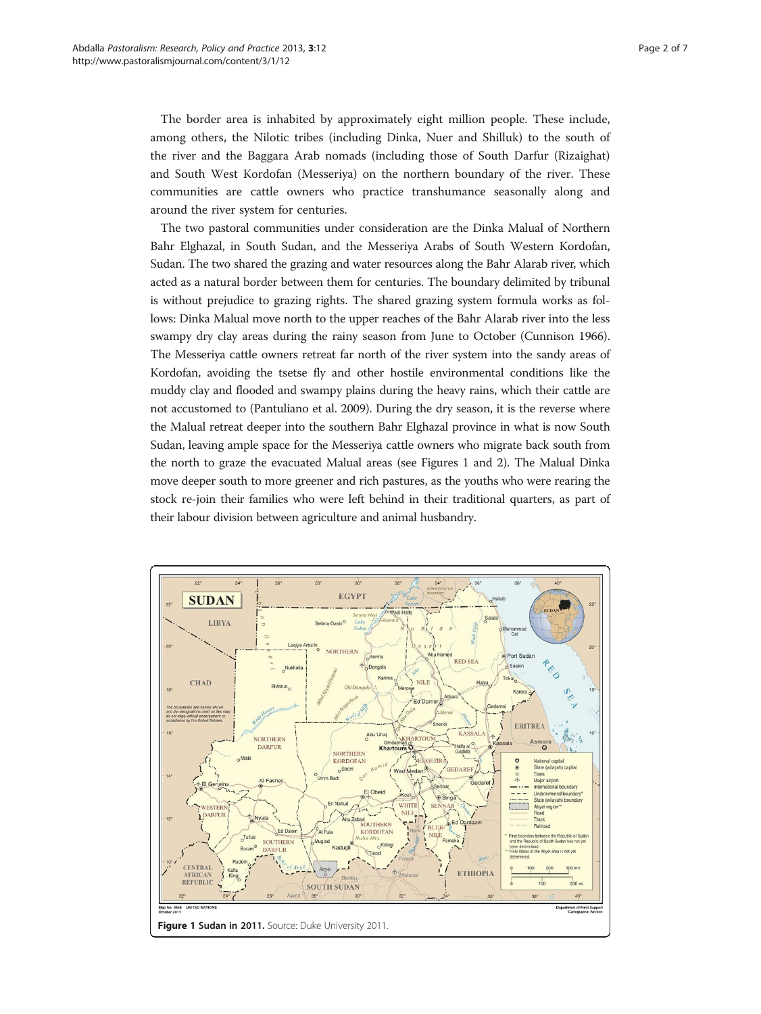The border area is inhabited by approximately eight million people. These include, among others, the Nilotic tribes (including Dinka, Nuer and Shilluk) to the south of the river and the Baggara Arab nomads (including those of South Darfur (Rizaighat) and South West Kordofan (Messeriya) on the northern boundary of the river. These communities are cattle owners who practice transhumance seasonally along and around the river system for centuries.

The two pastoral communities under consideration are the Dinka Malual of Northern Bahr Elghazal, in South Sudan, and the Messeriya Arabs of South Western Kordofan, Sudan. The two shared the grazing and water resources along the Bahr Alarab river, which acted as a natural border between them for centuries. The boundary delimited by tribunal is without prejudice to grazing rights. The shared grazing system formula works as follows: Dinka Malual move north to the upper reaches of the Bahr Alarab river into the less swampy dry clay areas during the rainy season from June to October (Cunnison [1966](#page-6-0)). The Messeriya cattle owners retreat far north of the river system into the sandy areas of Kordofan, avoiding the tsetse fly and other hostile environmental conditions like the muddy clay and flooded and swampy plains during the heavy rains, which their cattle are not accustomed to (Pantuliano et al. [2009](#page-6-0)). During the dry season, it is the reverse where the Malual retreat deeper into the southern Bahr Elghazal province in what is now South Sudan, leaving ample space for the Messeriya cattle owners who migrate back south from the north to graze the evacuated Malual areas (see Figures 1 and [2\)](#page-2-0). The Malual Dinka move deeper south to more greener and rich pastures, as the youths who were rearing the stock re-join their families who were left behind in their traditional quarters, as part of their labour division between agriculture and animal husbandry.

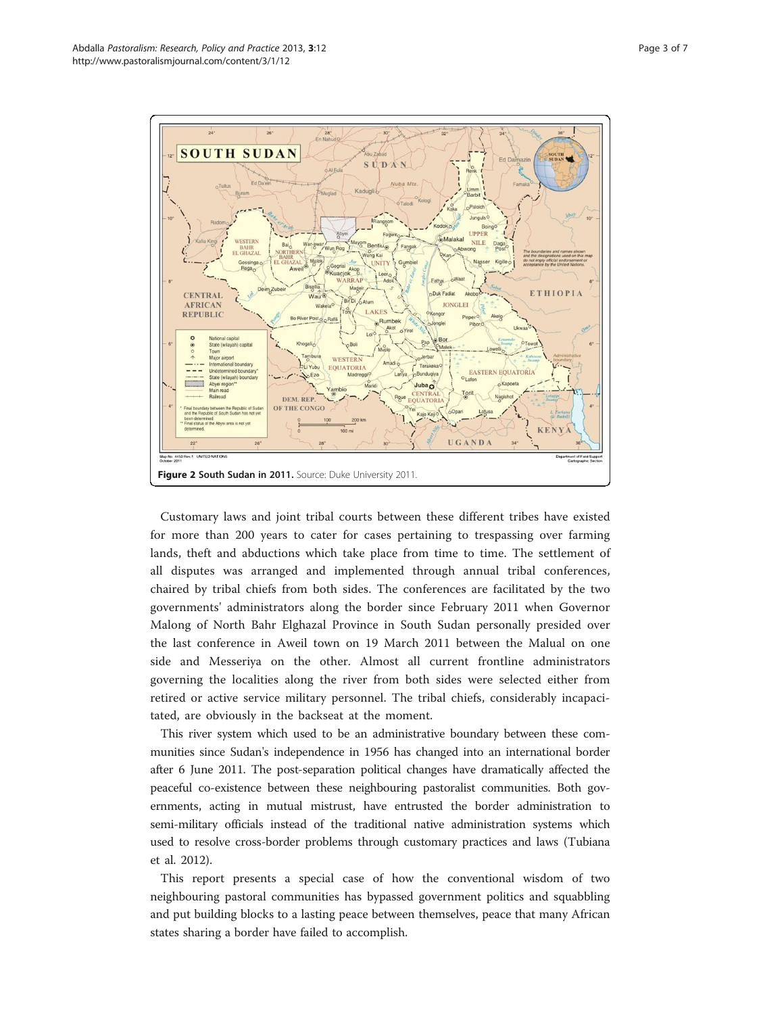<span id="page-2-0"></span>

Customary laws and joint tribal courts between these different tribes have existed for more than 200 years to cater for cases pertaining to trespassing over farming lands, theft and abductions which take place from time to time. The settlement of all disputes was arranged and implemented through annual tribal conferences, chaired by tribal chiefs from both sides. The conferences are facilitated by the two governments' administrators along the border since February 2011 when Governor Malong of North Bahr Elghazal Province in South Sudan personally presided over the last conference in Aweil town on 19 March 2011 between the Malual on one side and Messeriya on the other. Almost all current frontline administrators governing the localities along the river from both sides were selected either from retired or active service military personnel. The tribal chiefs, considerably incapacitated, are obviously in the backseat at the moment.

This river system which used to be an administrative boundary between these communities since Sudan's independence in 1956 has changed into an international border after 6 June 2011. The post-separation political changes have dramatically affected the peaceful co-existence between these neighbouring pastoralist communities. Both governments, acting in mutual mistrust, have entrusted the border administration to semi-military officials instead of the traditional native administration systems which used to resolve cross-border problems through customary practices and laws (Tubiana et al. [2012\)](#page-6-0).

This report presents a special case of how the conventional wisdom of two neighbouring pastoral communities has bypassed government politics and squabbling and put building blocks to a lasting peace between themselves, peace that many African states sharing a border have failed to accomplish.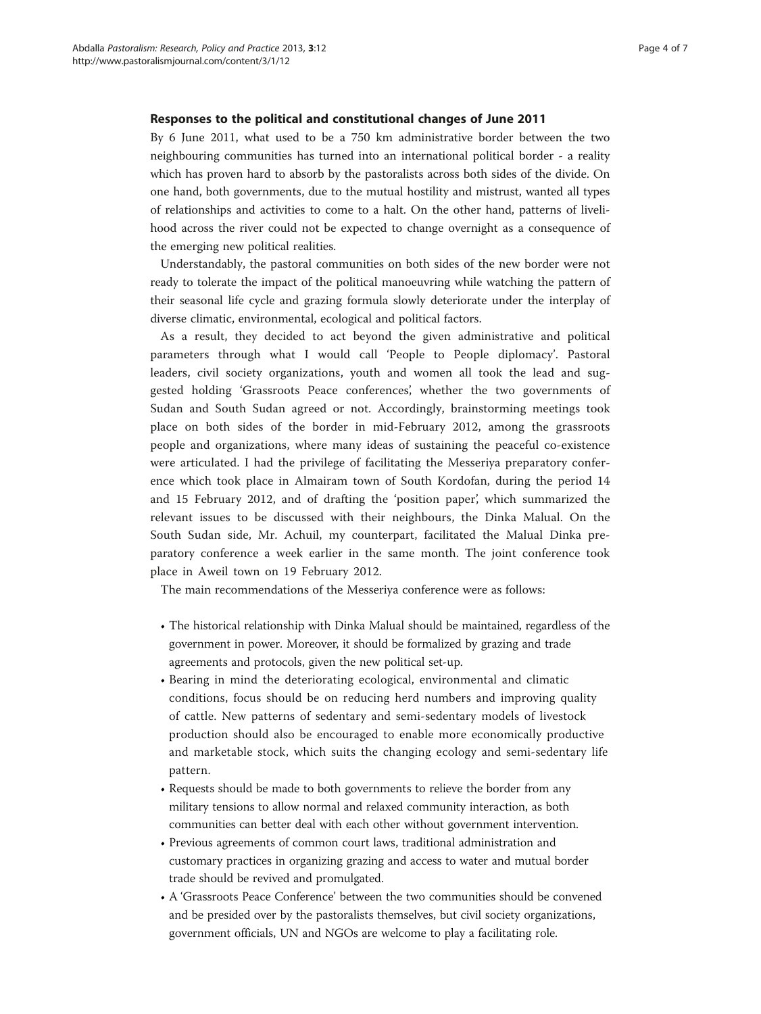#### Responses to the political and constitutional changes of June 2011

By 6 June 2011, what used to be a 750 km administrative border between the two neighbouring communities has turned into an international political border - a reality which has proven hard to absorb by the pastoralists across both sides of the divide. On one hand, both governments, due to the mutual hostility and mistrust, wanted all types of relationships and activities to come to a halt. On the other hand, patterns of livelihood across the river could not be expected to change overnight as a consequence of the emerging new political realities.

Understandably, the pastoral communities on both sides of the new border were not ready to tolerate the impact of the political manoeuvring while watching the pattern of their seasonal life cycle and grazing formula slowly deteriorate under the interplay of diverse climatic, environmental, ecological and political factors.

As a result, they decided to act beyond the given administrative and political parameters through what I would call 'People to People diplomacy'. Pastoral leaders, civil society organizations, youth and women all took the lead and suggested holding 'Grassroots Peace conferences', whether the two governments of Sudan and South Sudan agreed or not. Accordingly, brainstorming meetings took place on both sides of the border in mid-February 2012, among the grassroots people and organizations, where many ideas of sustaining the peaceful co-existence were articulated. I had the privilege of facilitating the Messeriya preparatory conference which took place in Almairam town of South Kordofan, during the period 14 and 15 February 2012, and of drafting the 'position paper', which summarized the relevant issues to be discussed with their neighbours, the Dinka Malual. On the South Sudan side, Mr. Achuil, my counterpart, facilitated the Malual Dinka preparatory conference a week earlier in the same month. The joint conference took place in Aweil town on 19 February 2012.

The main recommendations of the Messeriya conference were as follows:

- The historical relationship with Dinka Malual should be maintained, regardless of the government in power. Moreover, it should be formalized by grazing and trade agreements and protocols, given the new political set-up.
- Bearing in mind the deteriorating ecological, environmental and climatic conditions, focus should be on reducing herd numbers and improving quality of cattle. New patterns of sedentary and semi-sedentary models of livestock production should also be encouraged to enable more economically productive and marketable stock, which suits the changing ecology and semi-sedentary life pattern.
- Requests should be made to both governments to relieve the border from any military tensions to allow normal and relaxed community interaction, as both communities can better deal with each other without government intervention.
- Previous agreements of common court laws, traditional administration and customary practices in organizing grazing and access to water and mutual border trade should be revived and promulgated.
- A 'Grassroots Peace Conference' between the two communities should be convened and be presided over by the pastoralists themselves, but civil society organizations, government officials, UN and NGOs are welcome to play a facilitating role.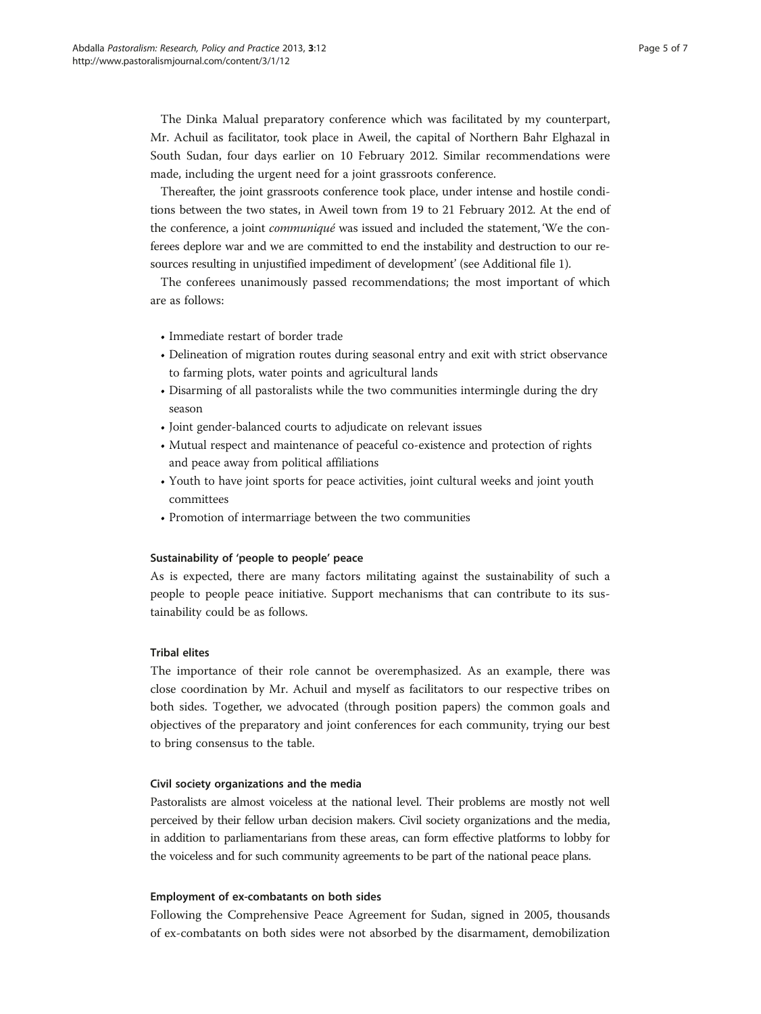The Dinka Malual preparatory conference which was facilitated by my counterpart, Mr. Achuil as facilitator, took place in Aweil, the capital of Northern Bahr Elghazal in South Sudan, four days earlier on 10 February 2012. Similar recommendations were made, including the urgent need for a joint grassroots conference.

Thereafter, the joint grassroots conference took place, under intense and hostile conditions between the two states, in Aweil town from 19 to 21 February 2012. At the end of the conference, a joint communiqué was issued and included the statement, 'We the conferees deplore war and we are committed to end the instability and destruction to our resources resulting in unjustified impediment of development' (see Additional file [1](#page-5-0)).

The conferees unanimously passed recommendations; the most important of which are as follows:

- Immediate restart of border trade
- Delineation of migration routes during seasonal entry and exit with strict observance to farming plots, water points and agricultural lands
- Disarming of all pastoralists while the two communities intermingle during the dry season
- Joint gender-balanced courts to adjudicate on relevant issues
- Mutual respect and maintenance of peaceful co-existence and protection of rights and peace away from political affiliations
- Youth to have joint sports for peace activities, joint cultural weeks and joint youth committees
- Promotion of intermarriage between the two communities

#### Sustainability of 'people to people' peace

As is expected, there are many factors militating against the sustainability of such a people to people peace initiative. Support mechanisms that can contribute to its sustainability could be as follows.

#### Tribal elites

The importance of their role cannot be overemphasized. As an example, there was close coordination by Mr. Achuil and myself as facilitators to our respective tribes on both sides. Together, we advocated (through position papers) the common goals and objectives of the preparatory and joint conferences for each community, trying our best to bring consensus to the table.

#### Civil society organizations and the media

Pastoralists are almost voiceless at the national level. Their problems are mostly not well perceived by their fellow urban decision makers. Civil society organizations and the media, in addition to parliamentarians from these areas, can form effective platforms to lobby for the voiceless and for such community agreements to be part of the national peace plans.

#### Employment of ex-combatants on both sides

Following the Comprehensive Peace Agreement for Sudan, signed in 2005, thousands of ex-combatants on both sides were not absorbed by the disarmament, demobilization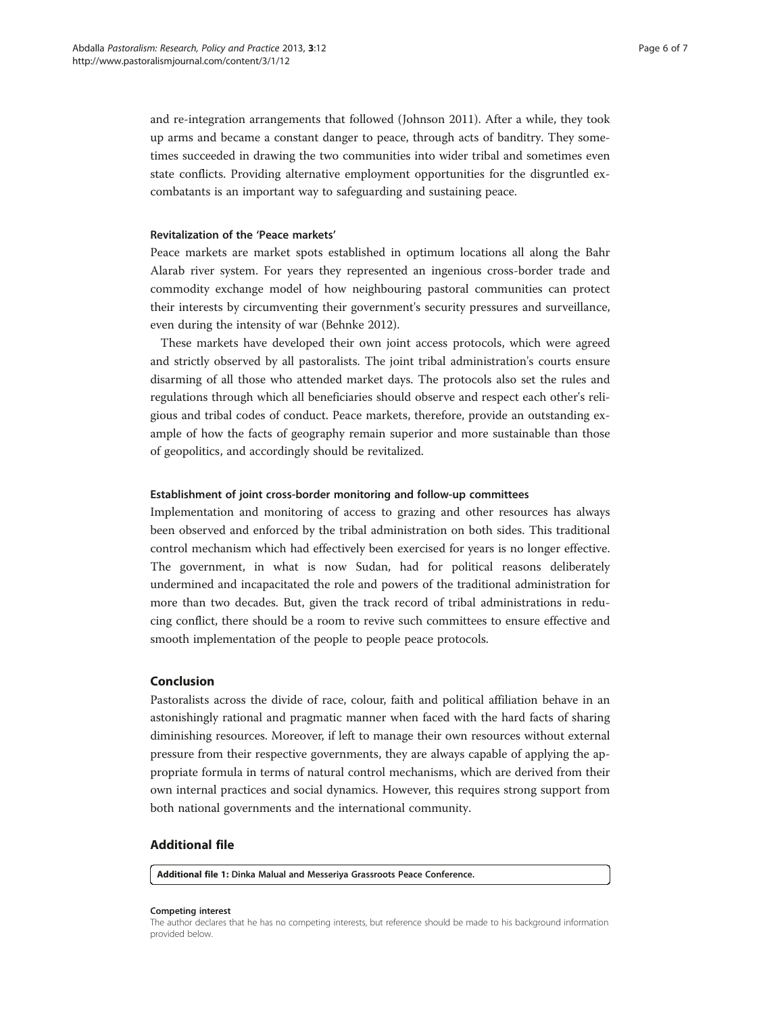<span id="page-5-0"></span>and re-integration arrangements that followed (Johnson [2011](#page-6-0)). After a while, they took up arms and became a constant danger to peace, through acts of banditry. They sometimes succeeded in drawing the two communities into wider tribal and sometimes even state conflicts. Providing alternative employment opportunities for the disgruntled excombatants is an important way to safeguarding and sustaining peace.

#### Revitalization of the 'Peace markets'

Peace markets are market spots established in optimum locations all along the Bahr Alarab river system. For years they represented an ingenious cross-border trade and commodity exchange model of how neighbouring pastoral communities can protect their interests by circumventing their government's security pressures and surveillance, even during the intensity of war (Behnke [2012\)](#page-6-0).

These markets have developed their own joint access protocols, which were agreed and strictly observed by all pastoralists. The joint tribal administration's courts ensure disarming of all those who attended market days. The protocols also set the rules and regulations through which all beneficiaries should observe and respect each other's religious and tribal codes of conduct. Peace markets, therefore, provide an outstanding example of how the facts of geography remain superior and more sustainable than those of geopolitics, and accordingly should be revitalized.

#### Establishment of joint cross-border monitoring and follow-up committees

Implementation and monitoring of access to grazing and other resources has always been observed and enforced by the tribal administration on both sides. This traditional control mechanism which had effectively been exercised for years is no longer effective. The government, in what is now Sudan, had for political reasons deliberately undermined and incapacitated the role and powers of the traditional administration for more than two decades. But, given the track record of tribal administrations in reducing conflict, there should be a room to revive such committees to ensure effective and smooth implementation of the people to people peace protocols.

#### Conclusion

Pastoralists across the divide of race, colour, faith and political affiliation behave in an astonishingly rational and pragmatic manner when faced with the hard facts of sharing diminishing resources. Moreover, if left to manage their own resources without external pressure from their respective governments, they are always capable of applying the appropriate formula in terms of natural control mechanisms, which are derived from their own internal practices and social dynamics. However, this requires strong support from both national governments and the international community.

#### Additional file

[Additional file 1:](http://www.biomedcentral.com/content/supplementary/2041-7136-3-12-S1.doc) Dinka Malual and Messeriya Grassroots Peace Conference.

#### Competing interest

The author declares that he has no competing interests, but reference should be made to his background information provided below.